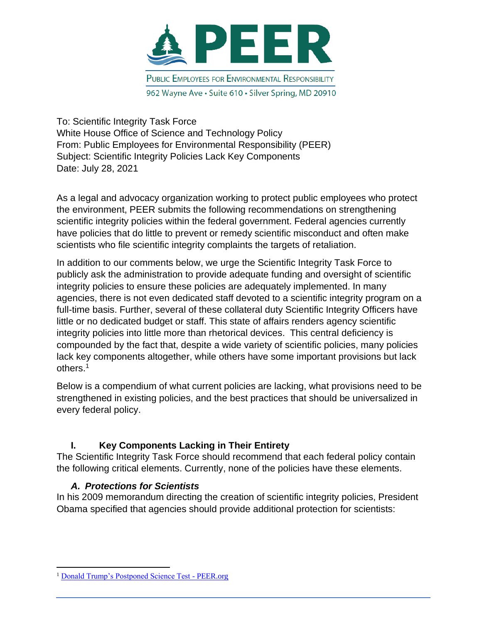

To: Scientific Integrity Task Force White House Office of Science and Technology Policy From: Public Employees for Environmental Responsibility (PEER) Subject: Scientific Integrity Policies Lack Key Components Date: July 28, 2021

As a legal and advocacy organization working to protect public employees who protect the environment, PEER submits the following recommendations on strengthening scientific integrity policies within the federal government. Federal agencies currently have policies that do little to prevent or remedy scientific misconduct and often make scientists who file scientific integrity complaints the targets of retaliation.

In addition to our comments below, we urge the Scientific Integrity Task Force to publicly ask the administration to provide adequate funding and oversight of scientific integrity policies to ensure these policies are adequately implemented. In many agencies, there is not even dedicated staff devoted to a scientific integrity program on a full-time basis. Further, several of these collateral duty Scientific Integrity Officers have little or no dedicated budget or staff. This state of affairs renders agency scientific integrity policies into little more than rhetorical devices. This central deficiency is compounded by the fact that, despite a wide variety of scientific policies, many policies lack key components altogether, while others have some important provisions but lack others.<sup>1</sup>

Below is a compendium of what current policies are lacking, what provisions need to be strengthened in existing policies, and the best practices that should be universalized in every federal policy.

## **I. Key Components Lacking in Their Entirety**

The Scientific Integrity Task Force should recommend that each federal policy contain the following critical elements. Currently, none of the policies have these elements.

### *A. Protections for Scientists*

In his 2009 memorandum directing the creation of scientific integrity policies, President Obama specified that agencies should provide additional protection for scientists:

<sup>&</sup>lt;sup>1</sup> [Donald Trump's Postponed Science Test -](https://www.peer.org/donald-trump-s-postponed-science-test/) PEER.org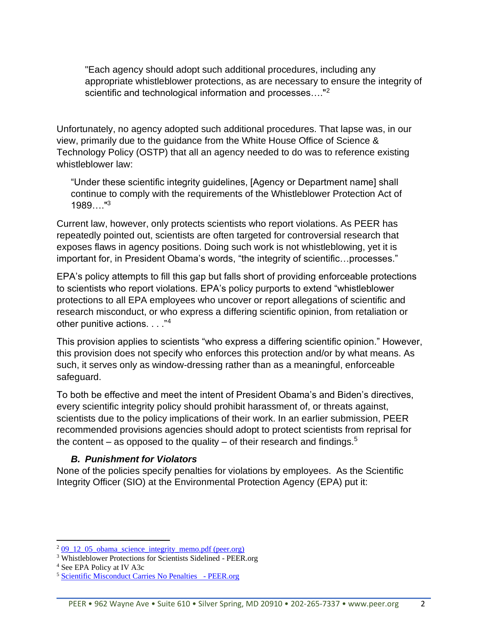"Each agency should adopt such additional procedures, including any appropriate whistleblower protections, as are necessary to ensure the integrity of scientific and technological information and processes...."<sup>2</sup>

Unfortunately, no agency adopted such additional procedures. That lapse was, in our view, primarily due to the guidance from the White House Office of Science & Technology Policy (OSTP) that all an agency needed to do was to reference existing whistleblower law:

"Under these scientific integrity guidelines, [Agency or Department name] shall continue to comply with the requirements of the Whistleblower Protection Act of 1989…."<sup>3</sup>

Current law, however, only protects scientists who report violations. As PEER has repeatedly pointed out, scientists are often targeted for controversial research that exposes flaws in agency positions. Doing such work is not whistleblowing, yet it is important for, in President Obama's words, "the integrity of scientific…processes."

EPA's policy attempts to fill this gap but falls short of providing enforceable protections to scientists who report violations. EPA's policy purports to extend "whistleblower protections to all EPA employees who uncover or report allegations of scientific and research misconduct, or who express a differing scientific opinion, from retaliation or other punitive actions. . . . "4

This provision applies to scientists "who express a differing scientific opinion." However, this provision does not specify who enforces this protection and/or by what means. As such, it serves only as window-dressing rather than as a meaningful, enforceable safeguard.

To both be effective and meet the intent of President Obama's and Biden's directives, every scientific integrity policy should prohibit harassment of, or threats against, scientists due to the policy implications of their work. In an earlier submission, PEER recommended provisions agencies should adopt to protect scientists from reprisal for the content – as opposed to the quality – of their research and findings.<sup>5</sup>

### *B. Punishment for Violators*

None of the policies specify penalties for violations by employees. As the Scientific Integrity Officer (SIO) at the Environmental Protection Agency (EPA) put it:

 $2.09$  12.05 obama science integrity memo.pdf (peer.org)

<sup>3</sup> Whistleblower Protections for Scientists Sidelined - PEER.org

<sup>4</sup> See EPA Policy at IV A3c

<sup>5</sup> [Scientific Misconduct Carries No Penalties -](https://www.peer.org/scientific-misconduct-carries-no-penalties/) PEER.org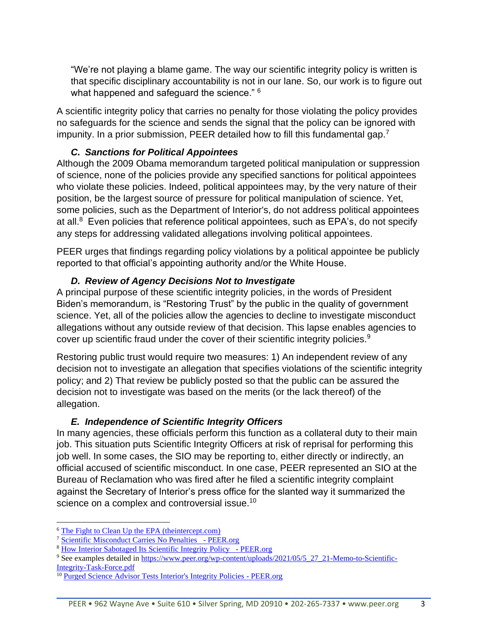"We're not playing a blame game. The way our scientific integrity policy is written is that specific disciplinary accountability is not in our lane. So, our work is to figure out what happened and safeguard the science." <sup>6</sup>

A scientific integrity policy that carries no penalty for those violating the policy provides no safeguards for the science and sends the signal that the policy can be ignored with impunity. In a prior submission, PEER detailed how to fill this fundamental gap.<sup>7</sup>

### *C. Sanctions for Political Appointees*

Although the 2009 Obama memorandum targeted political manipulation or suppression of science, none of the policies provide any specified sanctions for political appointees who violate these policies. Indeed, political appointees may, by the very nature of their position, be the largest source of pressure for political manipulation of science. Yet, some policies, such as the Department of Interior's, do not address political appointees at all. $8$  Even policies that reference political appointees, such as EPA's, do not specify any steps for addressing validated allegations involving political appointees.

PEER urges that findings regarding policy violations by a political appointee be publicly reported to that official's appointing authority and/or the White House.

### *D. Review of Agency Decisions Not to Investigate*

A principal purpose of these scientific integrity policies, in the words of President Biden's memorandum, is "Restoring Trust" by the public in the quality of government science. Yet, all of the policies allow the agencies to decline to investigate misconduct allegations without any outside review of that decision. This lapse enables agencies to cover up scientific fraud under the cover of their scientific integrity policies. $9$ 

Restoring public trust would require two measures: 1) An independent review of any decision not to investigate an allegation that specifies violations of the scientific integrity policy; and 2) That review be publicly posted so that the public can be assured the decision not to investigate was based on the merits (or the lack thereof) of the allegation.

#### *E. Independence of Scientific Integrity Officers*

In many agencies, these officials perform this function as a collateral duty to their main job. This situation puts Scientific Integrity Officers at risk of reprisal for performing this job well. In some cases, the SIO may be reporting to, either directly or indirectly, an official accused of scientific misconduct. In one case, PEER represented an SIO at the Bureau of Reclamation who was fired after he filed a scientific integrity complaint against the Secretary of Interior's press office for the slanted way it summarized the science on a complex and controversial issue. $^{10}$ 

<sup>6</sup> [The Fight to Clean Up the EPA \(theintercept.com\)](https://theintercept.com/2021/04/26/epa-corruption-cleanup/)

<sup>7</sup> [Scientific Misconduct Carries No Penalties -](https://www.peer.org/scientific-misconduct-carries-no-penalties/) PEER.org

<sup>8</sup> [How Interior Sabotaged Its Scientific Integrity Policy -](https://www.peer.org/how-interior-sabotaged-its-scientific-integrity-policy/) PEER.org

<sup>&</sup>lt;sup>9</sup> See examples detailed in [https://www.peer.org/wp-content/uploads/2021/05/5\\_27\\_21-Memo-to-Scientific-](https://www.peer.org/wp-content/uploads/2021/05/5_27_21-Memo-to-Scientific-Integrity-Task-Force.pdf)[Integrity-Task-Force.pdf](https://www.peer.org/wp-content/uploads/2021/05/5_27_21-Memo-to-Scientific-Integrity-Task-Force.pdf)

<sup>&</sup>lt;sup>10</sup> [Purged Science Advisor Tests Interior's Integrity Policies -](https://www.peer.org/purged-science-advisor-tests-interiors-integrity-policies/) PEER.org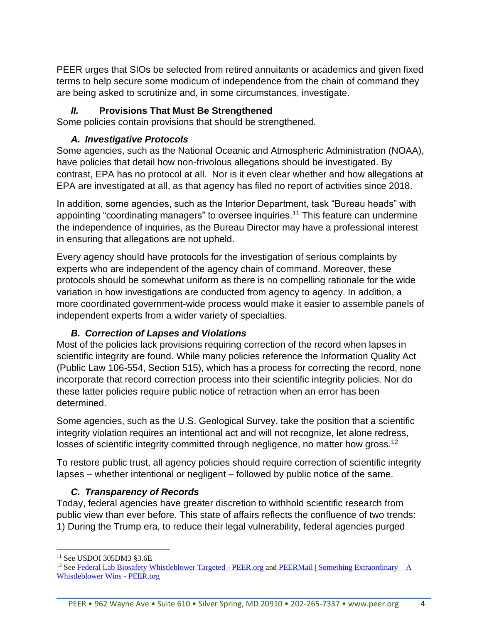PEER urges that SIOs be selected from retired annuitants or academics and given fixed terms to help secure some modicum of independence from the chain of command they are being asked to scrutinize and, in some circumstances, investigate.

# *II.* **Provisions That Must Be Strengthened**

Some policies contain provisions that should be strengthened.

## *A. Investigative Protocols*

Some agencies, such as the National Oceanic and Atmospheric Administration (NOAA), have policies that detail how non-frivolous allegations should be investigated. By contrast, EPA has no protocol at all. Nor is it even clear whether and how allegations at EPA are investigated at all, as that agency has filed no report of activities since 2018.

In addition, some agencies, such as the Interior Department, task "Bureau heads" with appointing "coordinating managers" to oversee inquiries.<sup>11</sup> This feature can undermine the independence of inquiries, as the Bureau Director may have a professional interest in ensuring that allegations are not upheld.

Every agency should have protocols for the investigation of serious complaints by experts who are independent of the agency chain of command. Moreover, these protocols should be somewhat uniform as there is no compelling rationale for the wide variation in how investigations are conducted from agency to agency. In addition, a more coordinated government-wide process would make it easier to assemble panels of independent experts from a wider variety of specialties.

## *B. Correction of Lapses and Violations*

Most of the policies lack provisions requiring correction of the record when lapses in scientific integrity are found. While many policies reference the Information Quality Act (Public Law 106-554, Section 515), which has a process for correcting the record, none incorporate that record correction process into their scientific integrity policies. Nor do these latter policies require public notice of retraction when an error has been determined.

Some agencies, such as the U.S. Geological Survey, take the position that a scientific integrity violation requires an intentional act and will not recognize, let alone redress, losses of scientific integrity committed through negligence, no matter how gross.<sup>12</sup>

To restore public trust, all agency policies should require correction of scientific integrity lapses – whether intentional or negligent – followed by public notice of the same.

## *C. Transparency of Records*

Today, federal agencies have greater discretion to withhold scientific research from public view than ever before. This state of affairs reflects the confluence of two trends: 1) During the Trump era, to reduce their legal vulnerability, federal agencies purged

<sup>11</sup> See USDOI 305DM3 §3.6E

<sup>&</sup>lt;sup>12</sup> See [Federal Lab Biosafety Whistleblower Targeted -](https://www.peer.org/federal-lab-biosafety-whistleblower-targeted/) PEER.org and [PEERMail | Something Extraordinary –](https://www.peer.org/peermail-something-extraordinary-a-whistleblower-wins/) A [Whistleblower Wins -](https://www.peer.org/peermail-something-extraordinary-a-whistleblower-wins/) PEER.org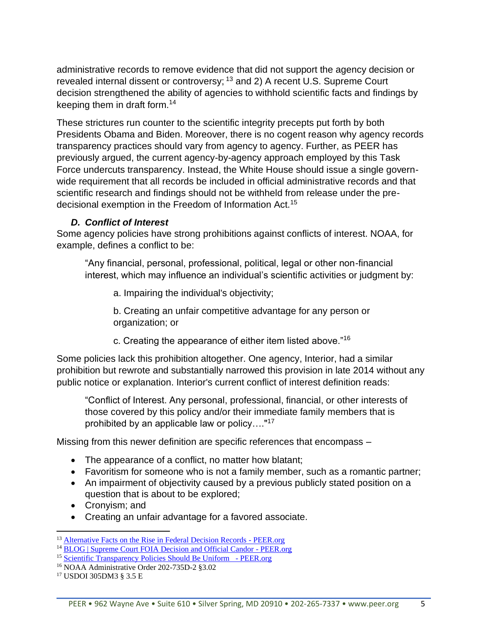administrative records to remove evidence that did not support the agency decision or revealed internal dissent or controversy; <sup>13</sup> and 2) A recent U.S. Supreme Court decision strengthened the ability of agencies to withhold scientific facts and findings by keeping them in draft form.<sup>14</sup>

These strictures run counter to the scientific integrity precepts put forth by both Presidents Obama and Biden. Moreover, there is no cogent reason why agency records transparency practices should vary from agency to agency. Further, as PEER has previously argued, the current agency-by-agency approach employed by this Task Force undercuts transparency. Instead, the White House should issue a single governwide requirement that all records be included in official administrative records and that scientific research and findings should not be withheld from release under the predecisional exemption in the Freedom of Information Act.<sup>15</sup>

### *D. Conflict of Interest*

Some agency policies have strong prohibitions against conflicts of interest. NOAA, for example, defines a conflict to be:

"Any financial, personal, professional, political, legal or other non-financial interest, which may influence an individual's scientific activities or judgment by:

a. Impairing the individual's objectivity;

b. Creating an unfair competitive advantage for any person or organization; or

c. Creating the appearance of either item listed above."<sup>16</sup>

Some policies lack this prohibition altogether. One agency, Interior, had a similar prohibition but rewrote and substantially narrowed this provision in late 2014 without any public notice or explanation. Interior's current conflict of interest definition reads:

"Conflict of Interest. Any personal, professional, financial, or other interests of those covered by this policy and/or their immediate family members that is prohibited by an applicable law or policy…."<sup>17</sup>

Missing from this newer definition are specific references that encompass –

- The appearance of a conflict, no matter how blatant;
- Favoritism for someone who is not a family member, such as a romantic partner;
- An impairment of objectivity caused by a previous publicly stated position on a question that is about to be explored;
- Cronyism; and
- Creating an unfair advantage for a favored associate.

<sup>14</sup> [BLOG | Supreme Court FOIA Decision and Official Candor -](https://www.peer.org/supreme-court-foia-decision/) PEER.org

<sup>&</sup>lt;sup>13</sup> [Alternative Facts on the Rise in Federal Decision Records -](https://www.peer.org/alternative-facts-on-the-rise-in-federal-decision-records/) PEER.org

<sup>15</sup> [Scientific Transparency Policies Should Be Uniform -](https://www.peer.org/scientific-transparency-policies-should-be-uniform/) PEER.org

<sup>&</sup>lt;sup>16</sup> NOAA Administrative Order 202-735D-2 §3.02

<sup>17</sup> USDOI 305DM3 § 3.5 E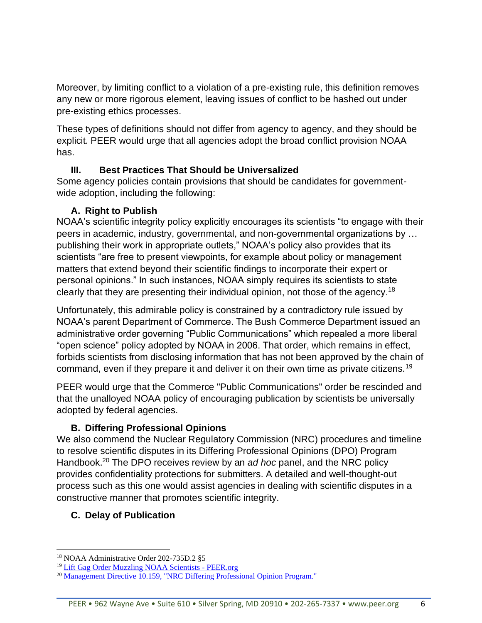Moreover, by limiting conflict to a violation of a pre-existing rule, this definition removes any new or more rigorous element, leaving issues of conflict to be hashed out under pre-existing ethics processes.

These types of definitions should not differ from agency to agency, and they should be explicit. PEER would urge that all agencies adopt the broad conflict provision NOAA has.

## **III. Best Practices That Should be Universalized**

Some agency policies contain provisions that should be candidates for governmentwide adoption, including the following:

## **A. Right to Publish**

NOAA's scientific integrity policy explicitly encourages its scientists "to engage with their peers in academic, industry, governmental, and non-governmental organizations by … publishing their work in appropriate outlets," NOAA's policy also provides that its scientists "are free to present viewpoints, for example about policy or management matters that extend beyond their scientific findings to incorporate their expert or personal opinions." In such instances, NOAA simply requires its scientists to state clearly that they are presenting their individual opinion, not those of the agency.<sup>18</sup>

Unfortunately, this admirable policy is constrained by a contradictory rule issued by NOAA's parent Department of Commerce. The Bush Commerce Department issued an administrative order governing "Public Communications" which repealed a more liberal "open science" policy adopted by NOAA in 2006. That order, which remains in effect, forbids scientists from disclosing information that has not been approved by the chain of command, even if they prepare it and deliver it on their own time as private citizens.<sup>19</sup>

PEER would urge that the Commerce "Public Communications" order be rescinded and that the unalloyed NOAA policy of encouraging publication by scientists be universally adopted by federal agencies.

## **B. Differing Professional Opinions**

We also commend the Nuclear Regulatory Commission (NRC) procedures and timeline to resolve scientific disputes in its Differing Professional Opinions (DPO) Program Handbook.<sup>20</sup> The DPO receives review by an *ad hoc* panel, and the NRC policy provides confidentiality protections for submitters. A detailed and well-thought-out process such as this one would assist agencies in dealing with scientific disputes in a constructive manner that promotes scientific integrity.

## **C. Delay of Publication**

<sup>18</sup> NOAA Administrative Order 202-735D.2 §5

<sup>19</sup> [Lift Gag Order Muzzling NOAA Scientists -](https://www.peer.org/lift-gag-order-muzzling-noaa-scientists/) PEER.org

<sup>&</sup>lt;sup>20</sup> [Management Directive 10.159, "NRC Differing Professional Opinion Program."](https://www.nrc.gov/docs/ML1513/ML15132A664.pdf)